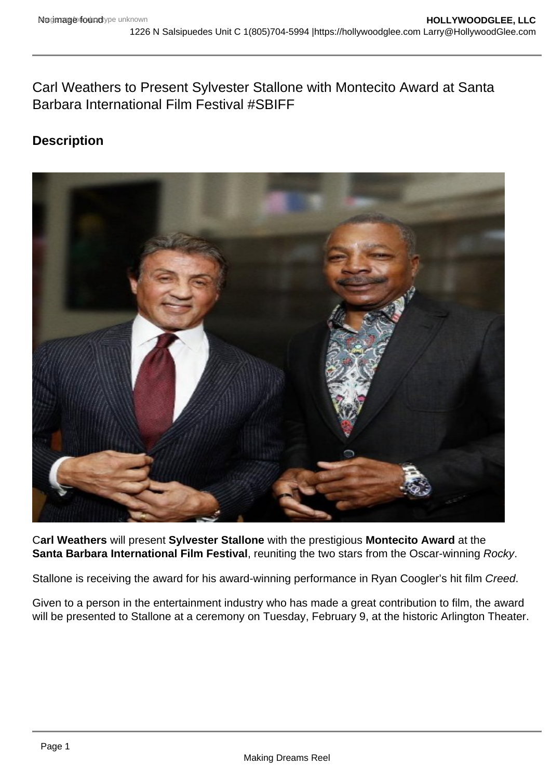Carl Weathers to Present Sylvester Stallone with Montecito Award at Santa Barbara International Film Festival #SBIFF

## **Description**



C**arl Weathers** will present **Sylvester Stallone** with the prestigious **Montecito Award** at the **Santa Barbara International Film Festival**, reuniting the two stars from the Oscar-winning Rocky.

Stallone is receiving the award for his award-winning performance in Ryan Coogler's hit film Creed.

Given to a person in the entertainment industry who has made a great contribution to film, the award will be presented to Stallone at a ceremony on Tuesday, February 9, at the historic Arlington Theater.